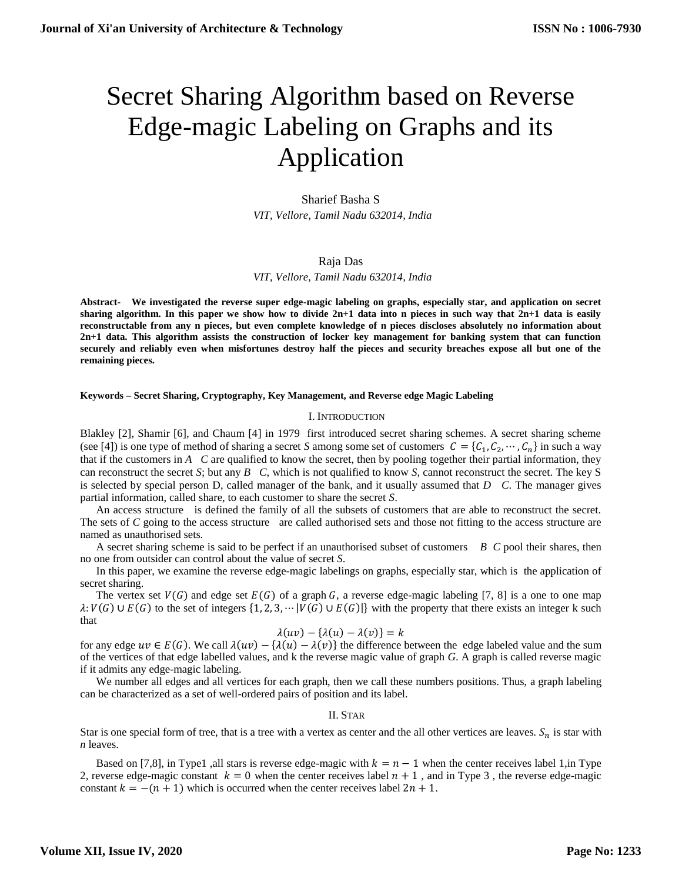# Secret Sharing Algorithm based on Reverse Edge-magic Labeling on Graphs and its Application

Sharief Basha S  *VIT, Vellore, Tamil Nadu 632014, India*

## Raja Das

 *VIT, Vellore, Tamil Nadu 632014, India*

**Abstract- We investigated the reverse super edge-magic labeling on graphs, especially star, and application on secret sharing algorithm. In this paper we show how to divide 2n+1 data into n pieces in such way that 2n+1 data is easily reconstructable from any n pieces, but even complete knowledge of n pieces discloses absolutely no information about 2n+1 data. This algorithm assists the construction of locker key management for banking system that can function securely and reliably even when misfortunes destroy half the pieces and security breaches expose all but one of the remaining pieces.**

**Keywords – Secret Sharing, Cryptography, Key Management, and Reverse edge Magic Labeling**

#### I. INTRODUCTION

Blakley [2], Shamir [6], and Chaum [4] in 1979 first introduced secret sharing schemes. A secret sharing scheme (see [4]) is one type of method of sharing a secret *S* among some set of customers  $C = \{C_1, C_2, \dots, C_n\}$  in such a way that if the customers in *A C* are qualified to know the secret, then by pooling together their partial information, they can reconstruct the secret *S*; but any *B C*, which is not qualified to know *S*, cannot reconstruct the secret. The key S is selected by special person D, called manager of the bank, and it usually assumed that *D C*. The manager gives partial information, called share, to each customer to share the secret *S*.

An access structure is defined the family of all the subsets of customers that are able to reconstruct the secret. The sets of *C* going to the access structure are called authorised sets and those not fitting to the access structure are named as unauthorised sets.

A secret sharing scheme is said to be perfect if an unauthorised subset of customers *B C* pool their shares, then no one from outsider can control about the value of secret *S*.

In this paper, we examine the reverse edge-magic labelings on graphs, especially star, which is the application of secret sharing.

The vertex set  $V(G)$  and edge set  $E(G)$  of a graph G, a reverse edge-magic labeling [7, 8] is a one to one map  $\lambda: V(G) \cup E(G)$  to the set of integers  $\{1, 2, 3, \dots | V(G) \cup E(G) | \}$  with the property that there exists an integer k such that

## $\lambda(uv) - {\lambda(u) - \lambda(v)} = k$

for any edge  $uv \in E(G)$ . We call  $\lambda(uv) - \lambda(v)$  the difference between the edge labeled value and the sum of the vertices of that edge labelled values, and k the reverse magic value of graph *G*. A graph is called reverse magic if it admits any edge-magic labeling.

We number all edges and all vertices for each graph, then we call these numbers positions. Thus, a graph labeling can be characterized as a set of well-ordered pairs of position and its label.

#### II. STAR

Star is one special form of tree, that is a tree with a vertex as center and the all other vertices are leaves.  $S_n$  is star with *n* leaves.

Based on [7,8], in Type1 ,all stars is reverse edge-magic with  $k = n - 1$  when the center receives label 1, in Type 2, reverse edge-magic constant  $k = 0$  when the center receives label  $n + 1$ , and in Type 3, the reverse edge-magic constant  $k = -(n + 1)$  which is occurred when the center receives label  $2n + 1$ .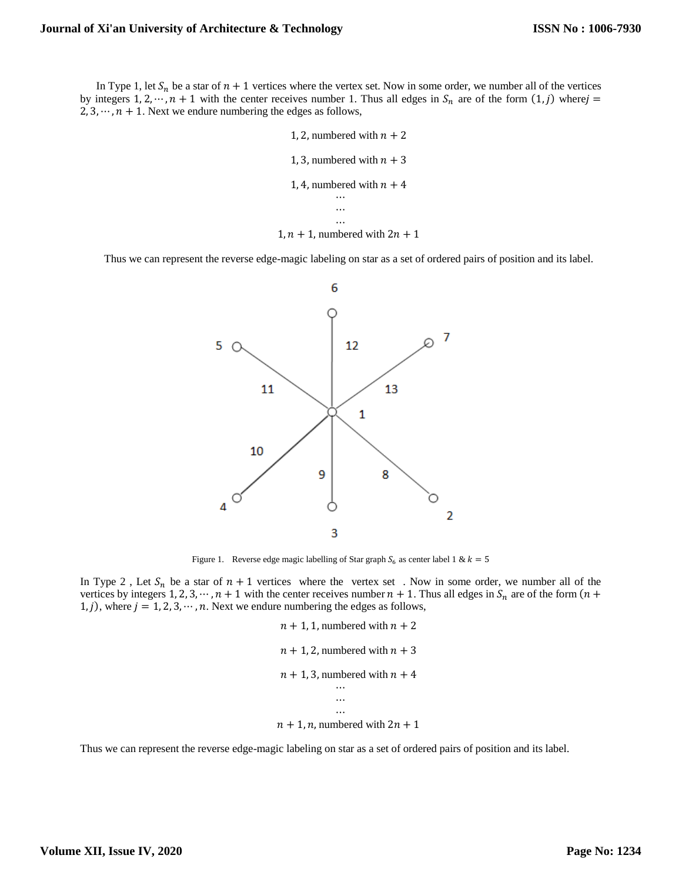In Type 1, let  $S_n$  be a star of  $n + 1$  vertices where the vertex set. Now in some order, we number all of the vertices by integers 1, 2, …,  $n + 1$  with the center receives number 1. Thus all edges in  $S_n$  are of the form  $(1, j)$  where  $j =$ 2, 3,  $\cdots$ ,  $n + 1$ . Next we endure numbering the edges as follows,

```
1, 2, numbered with n + 21, 3, numbered with n + 31, 4, numbered with n + 4⋯
            …
            \ddotsc1, n + 1, numbered with 2n + 1
```
Thus we can represent the reverse edge-magic labeling on star as a set of ordered pairs of position and its label.



Figure 1. Reverse edge magic labelling of Star graph  $S_6$  as center label 1 &  $k = 5$ 

In Type 2, Let  $S_n$  be a star of  $n + 1$  vertices where the vertex set. Now in some order, we number all of the vertices by integers 1, 2, 3,  $\cdots$ ,  $n + 1$  with the center receives number  $n + 1$ . Thus all edges in  $S_n$  are of the form  $(n +$ 1, j), where  $j = 1, 2, 3, \dots, n$ . Next we endure numbering the edges as follows,

```
n + 1, 1, numbered with n + 2n + 1, 2, numbered with n + 3n + 1, 3, numbered with n + 4\ddotsc⋯
            …
n + 1, n, numbered with 2n + 1
```
Thus we can represent the reverse edge-magic labeling on star as a set of ordered pairs of position and its label.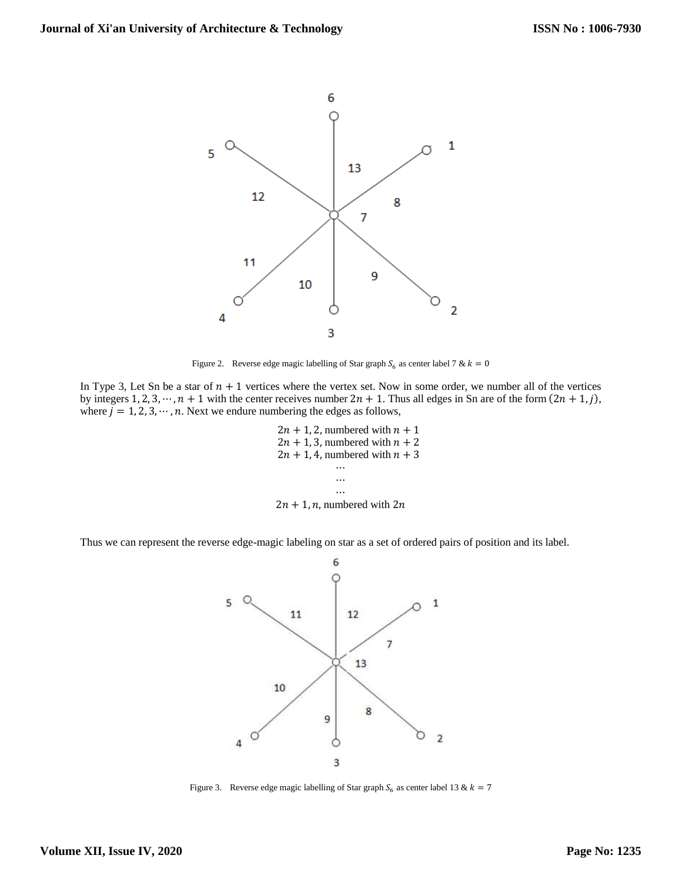

Figure 2. Reverse edge magic labelling of Star graph  $S_6$  as center label 7 &  $k = 0$ 

In Type 3, Let Sn be a star of  $n + 1$  vertices where the vertex set. Now in some order, we number all of the vertices by integers 1, 2, 3, …,  $n + 1$  with the center receives number  $2n + 1$ . Thus all edges in Sn are of the form  $(2n + 1, j)$ , where  $j = 1, 2, 3, \dots, n$ . Next we endure numbering the edges as follows,

> $2n + 1$ , 2, numbered with  $n + 1$  $2n + 1$ , 3, numbered with  $n + 2$  $2n + 1$ , 4, numbered with  $n + 3$ ⋯ … ⋯  $2n + 1$ , *n*, numbered with  $2n$

Thus we can represent the reverse edge-magic labeling on star as a set of ordered pairs of position and its label.



Figure 3. Reverse edge magic labelling of Star graph  $S_6$  as center label 13 &  $k = 7$